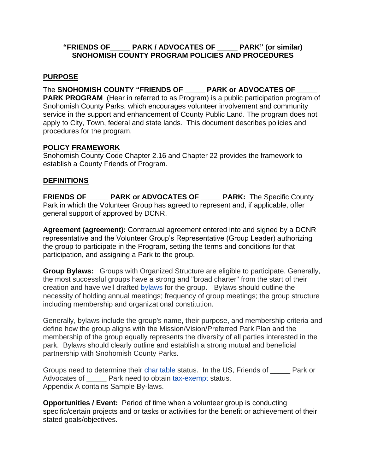#### **"FRIENDS OF\_\_\_\_\_ PARK / ADVOCATES OF \_\_\_\_\_ PARK" (or similar) SNOHOMISH COUNTY PROGRAM POLICIES AND PROCEDURES**

#### **PURPOSE**

The **SNOHOMISH COUNTY "FRIENDS OF \_\_\_\_\_ PARK or ADVOCATES OF \_\_\_\_\_ PARK PROGRAM** (Hear in referred to as Program) is a public participation program of Snohomish County Parks, which encourages volunteer involvement and community service in the support and enhancement of County Public Land. The program does not apply to City, Town, federal and state lands. This document describes policies and procedures for the program.

#### **POLICY FRAMEWORK**

Snohomish County Code Chapter 2.16 and Chapter 22 provides the framework to establish a County Friends of Program.

#### **DEFINITIONS**

**FRIENDS OF \_\_\_\_\_ PARK or ADVOCATES OF \_\_\_\_\_ PARK:** The Specific County Park in which the Volunteer Group has agreed to represent and, if applicable, offer general support of approved by DCNR.

**Agreement (agreement):** Contractual agreement entered into and signed by a DCNR representative and the Volunteer Group's Representative (Group Leader) authorizing the group to participate in the Program, setting the terms and conditions for that participation, and assigning a Park to the group.

**Group Bylaws:** Groups with Organized Structure are eligible to participate. Generally, the most successful groups have a strong and "broad charter" from the start of their creation and have well drafted [bylaws](https://en.wikipedia.org/wiki/By-law) for the group. Bylaws should outline the necessity of holding annual meetings; frequency of group meetings; the group structure including membership and organizational constitution.

Generally, bylaws include the group's name, their purpose, and membership criteria and define how the group aligns with the Mission/Vision/Preferred Park Plan and the membership of the group equally represents the diversity of all parties interested in the park. Bylaws should clearly outline and establish a strong mutual and beneficial partnership with Snohomish County Parks.

Groups need to determine their [charitable](https://en.wikipedia.org/wiki/Charity_(practice)) status. In the US, Friends of \_\_\_\_\_ Park or Advocates of \_\_\_\_\_ Park need to obtain [tax-exempt](https://en.wikipedia.org/wiki/Tax_exemption) status. Appendix A contains Sample By-laws.

**Opportunities / Event:** Period of time when a volunteer group is conducting specific/certain projects and or tasks or activities for the benefit or achievement of their stated goals/objectives.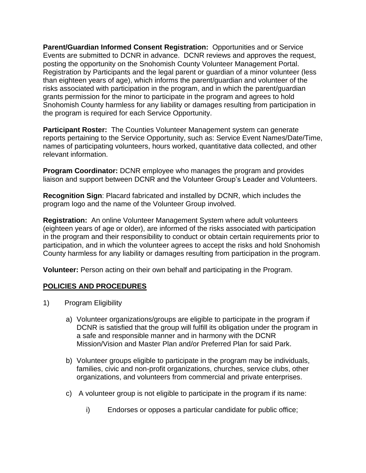**Parent/Guardian Informed Consent Registration:** Opportunities and or Service Events are submitted to DCNR in advance. DCNR reviews and approves the request, posting the opportunity on the Snohomish County Volunteer Management Portal. Registration by Participants and the legal parent or guardian of a minor volunteer (less than eighteen years of age), which informs the parent/guardian and volunteer of the risks associated with participation in the program, and in which the parent/guardian grants permission for the minor to participate in the program and agrees to hold Snohomish County harmless for any liability or damages resulting from participation in the program is required for each Service Opportunity.

**Participant Roster:** The Counties Volunteer Management system can generate reports pertaining to the Service Opportunity, such as: Service Event Names/Date/Time, names of participating volunteers, hours worked, quantitative data collected, and other relevant information.

**Program Coordinator:** DCNR employee who manages the program and provides liaison and support between DCNR and the Volunteer Group's Leader and Volunteers.

**Recognition Sign**: Placard fabricated and installed by DCNR, which includes the program logo and the name of the Volunteer Group involved.

**Registration:** An online Volunteer Management System where adult volunteers (eighteen years of age or older), are informed of the risks associated with participation in the program and their responsibility to conduct or obtain certain requirements prior to participation, and in which the volunteer agrees to accept the risks and hold Snohomish County harmless for any liability or damages resulting from participation in the program.

**Volunteer:** Person acting on their own behalf and participating in the Program.

### **POLICIES AND PROCEDURES**

- 1) Program Eligibility
	- a) Volunteer organizations/groups are eligible to participate in the program if DCNR is satisfied that the group will fulfill its obligation under the program in a safe and responsible manner and in harmony with the DCNR Mission/Vision and Master Plan and/or Preferred Plan for said Park.
	- b) Volunteer groups eligible to participate in the program may be individuals, families, civic and non-profit organizations, churches, service clubs, other organizations, and volunteers from commercial and private enterprises.
	- c) A volunteer group is not eligible to participate in the program if its name:
		- i) Endorses or opposes a particular candidate for public office;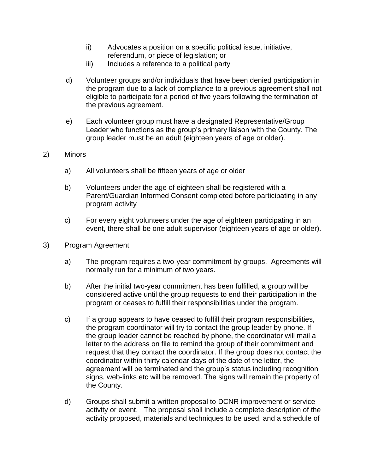- ii) Advocates a position on a specific political issue, initiative, referendum, or piece of legislation; or
- iii) Includes a reference to a political party
- d) Volunteer groups and/or individuals that have been denied participation in the program due to a lack of compliance to a previous agreement shall not eligible to participate for a period of five years following the termination of the previous agreement.
- e) Each volunteer group must have a designated Representative/Group Leader who functions as the group's primary liaison with the County. The group leader must be an adult (eighteen years of age or older).
- 2) Minors
	- a) All volunteers shall be fifteen years of age or older
	- b) Volunteers under the age of eighteen shall be registered with a Parent/Guardian Informed Consent completed before participating in any program activity
	- c) For every eight volunteers under the age of eighteen participating in an event, there shall be one adult supervisor (eighteen years of age or older).
- 3) Program Agreement
	- a) The program requires a two-year commitment by groups. Agreements will normally run for a minimum of two years.
	- b) After the initial two-year commitment has been fulfilled, a group will be considered active until the group requests to end their participation in the program or ceases to fulfill their responsibilities under the program.
	- c) If a group appears to have ceased to fulfill their program responsibilities, the program coordinator will try to contact the group leader by phone. If the group leader cannot be reached by phone, the coordinator will mail a letter to the address on file to remind the group of their commitment and request that they contact the coordinator. If the group does not contact the coordinator within thirty calendar days of the date of the letter, the agreement will be terminated and the group's status including recognition signs, web-links etc will be removed. The signs will remain the property of the County.
	- d) Groups shall submit a written proposal to DCNR improvement or service activity or event. The proposal shall include a complete description of the activity proposed, materials and techniques to be used, and a schedule of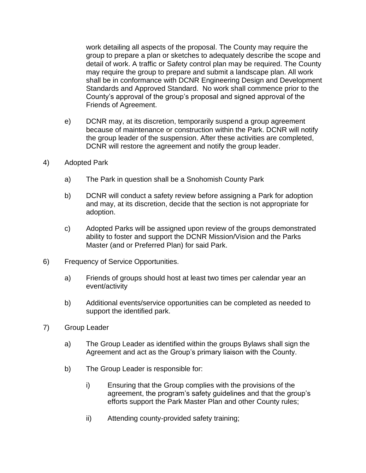work detailing all aspects of the proposal. The County may require the group to prepare a plan or sketches to adequately describe the scope and detail of work. A traffic or Safety control plan may be required. The County may require the group to prepare and submit a landscape plan. All work shall be in conformance with DCNR Engineering Design and Development Standards and Approved Standard. No work shall commence prior to the County's approval of the group's proposal and signed approval of the Friends of Agreement.

- e) DCNR may, at its discretion, temporarily suspend a group agreement because of maintenance or construction within the Park. DCNR will notify the group leader of the suspension. After these activities are completed, DCNR will restore the agreement and notify the group leader.
- 4) Adopted Park
	- a) The Park in question shall be a Snohomish County Park
	- b) DCNR will conduct a safety review before assigning a Park for adoption and may, at its discretion, decide that the section is not appropriate for adoption.
	- c) Adopted Parks will be assigned upon review of the groups demonstrated ability to foster and support the DCNR Mission/Vision and the Parks Master (and or Preferred Plan) for said Park.
- 6) Frequency of Service Opportunities.
	- a) Friends of groups should host at least two times per calendar year an event/activity
	- b) Additional events/service opportunities can be completed as needed to support the identified park.
- 7) Group Leader
	- a) The Group Leader as identified within the groups Bylaws shall sign the Agreement and act as the Group's primary liaison with the County.
	- b) The Group Leader is responsible for:
		- i) Ensuring that the Group complies with the provisions of the agreement, the program's safety guidelines and that the group's efforts support the Park Master Plan and other County rules;
		- ii) Attending county-provided safety training;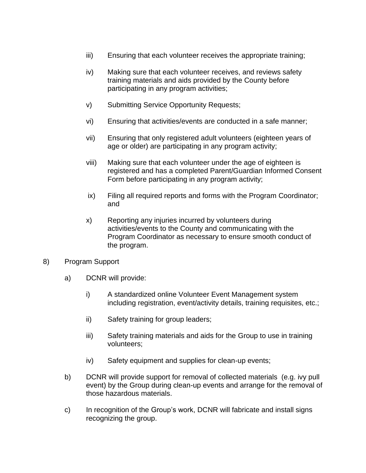- iii) Ensuring that each volunteer receives the appropriate training;
- iv) Making sure that each volunteer receives, and reviews safety training materials and aids provided by the County before participating in any program activities;
- v) Submitting Service Opportunity Requests;
- vi) Ensuring that activities/events are conducted in a safe manner;
- vii) Ensuring that only registered adult volunteers (eighteen years of age or older) are participating in any program activity;
- viii) Making sure that each volunteer under the age of eighteen is registered and has a completed Parent/Guardian Informed Consent Form before participating in any program activity;
- ix) Filing all required reports and forms with the Program Coordinator; and
- x) Reporting any injuries incurred by volunteers during activities/events to the County and communicating with the Program Coordinator as necessary to ensure smooth conduct of the program.
- 8) Program Support
	- a) DCNR will provide:
		- i) A standardized online Volunteer Event Management system including registration, event/activity details, training requisites, etc.;
		- ii) Safety training for group leaders;
		- iii) Safety training materials and aids for the Group to use in training volunteers;
		- iv) Safety equipment and supplies for clean-up events;
	- b) DCNR will provide support for removal of collected materials (e.g. ivy pull event) by the Group during clean-up events and arrange for the removal of those hazardous materials.
	- c) In recognition of the Group's work, DCNR will fabricate and install signs recognizing the group.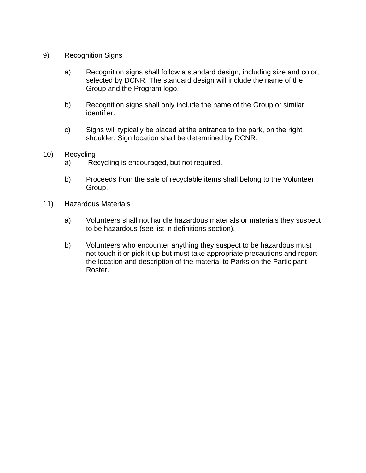- 9) Recognition Signs
	- a) Recognition signs shall follow a standard design, including size and color, selected by DCNR. The standard design will include the name of the Group and the Program logo.
	- b) Recognition signs shall only include the name of the Group or similar identifier.
	- c) Signs will typically be placed at the entrance to the park, on the right shoulder. Sign location shall be determined by DCNR.
- 10) Recycling
	- a) Recycling is encouraged, but not required.
	- b) Proceeds from the sale of recyclable items shall belong to the Volunteer Group.
- 11) Hazardous Materials
	- a) Volunteers shall not handle hazardous materials or materials they suspect to be hazardous (see list in definitions section).
	- b) Volunteers who encounter anything they suspect to be hazardous must not touch it or pick it up but must take appropriate precautions and report the location and description of the material to Parks on the Participant Roster.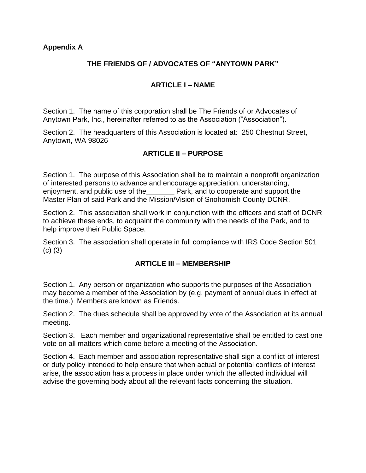#### **Appendix A**

### **THE FRIENDS OF / ADVOCATES OF "ANYTOWN PARK"**

### **ARTICLE I – NAME**

Section 1. The name of this corporation shall be The Friends of or Advocates of Anytown Park, Inc., hereinafter referred to as the Association ("Association").

Section 2. The headquarters of this Association is located at: 250 Chestnut Street, Anytown, WA 98026

### **ARTICLE II – PURPOSE**

Section 1. The purpose of this Association shall be to maintain a nonprofit organization of interested persons to advance and encourage appreciation, understanding, enjoyment, and public use of the\_\_\_\_\_\_\_ Park, and to cooperate and support the Master Plan of said Park and the Mission/Vision of Snohomish County DCNR.

Section 2. This association shall work in conjunction with the officers and staff of DCNR to achieve these ends, to acquaint the community with the needs of the Park, and to help improve their Public Space.

Section 3. The association shall operate in full compliance with IRS Code Section 501 (c) (3)

#### **ARTICLE III – MEMBERSHIP**

Section 1. Any person or organization who supports the purposes of the Association may become a member of the Association by (e.g. payment of annual dues in effect at the time.) Members are known as Friends.

Section 2. The dues schedule shall be approved by vote of the Association at its annual meeting.

Section 3. Each member and organizational representative shall be entitled to cast one vote on all matters which come before a meeting of the Association.

Section 4. Each member and association representative shall sign a conflict-of-interest or duty policy intended to help ensure that when actual or potential conflicts of interest arise, the association has a process in place under which the affected individual will advise the governing body about all the relevant facts concerning the situation.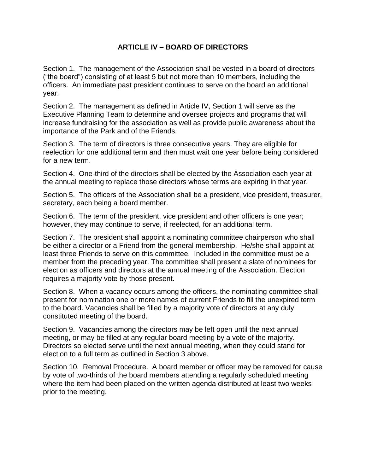#### **ARTICLE IV – BOARD OF DIRECTORS**

Section 1. The management of the Association shall be vested in a board of directors ("the board") consisting of at least 5 but not more than 10 members, including the officers. An immediate past president continues to serve on the board an additional year.

Section 2. The management as defined in Article IV, Section 1 will serve as the Executive Planning Team to determine and oversee projects and programs that will increase fundraising for the association as well as provide public awareness about the importance of the Park and of the Friends.

Section 3. The term of directors is three consecutive years. They are eligible for reelection for one additional term and then must wait one year before being considered for a new term.

Section 4. One-third of the directors shall be elected by the Association each year at the annual meeting to replace those directors whose terms are expiring in that year.

Section 5. The officers of the Association shall be a president, vice president, treasurer, secretary, each being a board member.

Section 6. The term of the president, vice president and other officers is one year; however, they may continue to serve, if reelected, for an additional term.

Section 7. The president shall appoint a nominating committee chairperson who shall be either a director or a Friend from the general membership. He/she shall appoint at least three Friends to serve on this committee. Included in the committee must be a member from the preceding year. The committee shall present a slate of nominees for election as officers and directors at the annual meeting of the Association. Election requires a majority vote by those present.

Section 8. When a vacancy occurs among the officers, the nominating committee shall present for nomination one or more names of current Friends to fill the unexpired term to the board. Vacancies shall be filled by a majority vote of directors at any duly constituted meeting of the board.

Section 9. Vacancies among the directors may be left open until the next annual meeting, or may be filled at any regular board meeting by a vote of the majority. Directors so elected serve until the next annual meeting, when they could stand for election to a full term as outlined in Section 3 above.

Section 10. Removal Procedure. A board member or officer may be removed for cause by vote of two-thirds of the board members attending a regularly scheduled meeting where the item had been placed on the written agenda distributed at least two weeks prior to the meeting.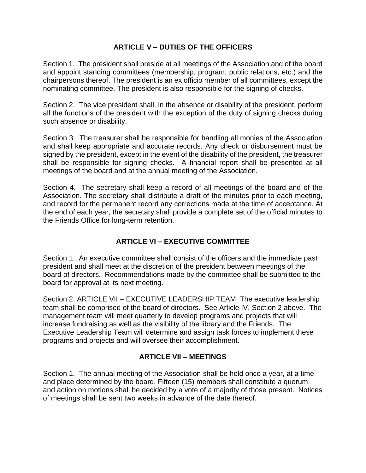### **ARTICLE V – DUTIES OF THE OFFICERS**

Section 1. The president shall preside at all meetings of the Association and of the board and appoint standing committees (membership, program, public relations, etc.) and the chairpersons thereof. The president is an ex officio member of all committees, except the nominating committee. The president is also responsible for the signing of checks.

Section 2. The vice president shall, in the absence or disability of the president, perform all the functions of the president with the exception of the duty of signing checks during such absence or disability.

Section 3. The treasurer shall be responsible for handling all monies of the Association and shall keep appropriate and accurate records. Any check or disbursement must be signed by the president, except in the event of the disability of the president, the treasurer shall be responsible for signing checks*.* A financial report shall be presented at all meetings of the board and at the annual meeting of the Association.

Section 4. The secretary shall keep a record of all meetings of the board and of the Association. The secretary shall distribute a draft of the minutes prior to each meeting, and record for the permanent record any corrections made at the time of acceptance. At the end of each year, the secretary shall provide a complete set of the official minutes to the Friends Office for long-term retention.

# **ARTICLE VI – EXECUTIVE COMMITTEE**

Section 1. An executive committee shall consist of the officers and the immediate past president and shall meet at the discretion of the president between meetings of the board of directors. Recommendations made by the committee shall be submitted to the board for approval at its next meeting.

Section 2. ARTICLE VII – EXECUTIVE LEADERSHIP TEAM The executive leadership team shall be comprised of the board of directors. See Article IV, Section 2 above. The management team will meet quarterly to develop programs and projects that will increase fundraising as well as the visibility of the library and the Friends. The Executive Leadership Team will determine and assign task forces to implement these programs and projects and will oversee their accomplishment.

### **ARTICLE VII – MEETINGS**

Section 1. The annual meeting of the Association shall be held once a year, at a time and place determined by the board. Fifteen (15) members shall constitute a quorum, and action on motions shall be decided by a vote of a majority of those present. Notices of meetings shall be sent two weeks in advance of the date thereof.